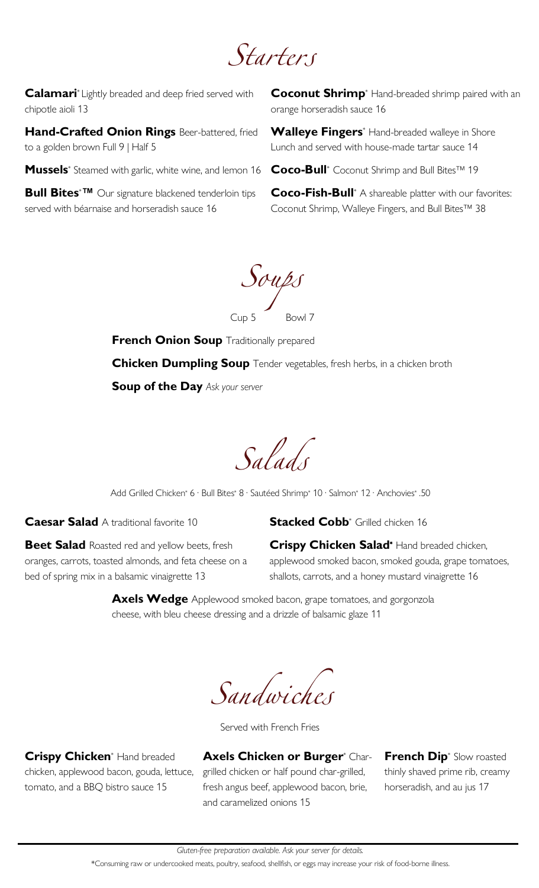Starters

**Calamari**\* Lightly breaded and deep fried served with chipotle aioli 13

**Hand-Crafted Onion Rings** Beer-battered, fried to a golden brown Full 9 | Half 5

Mussels<sup>\*</sup> Steamed with garlic, white wine, and lemon 16 **Coco-Bull**<sup>\*</sup> Coconut Shrimp and Bull Bites™ 19

**Bull Bites**\***™** Our signature blackened tenderloin tips served with béarnaise and horseradish sauce 16

**Coconut Shrimp**\* Hand-breaded shrimp paired with an orange horseradish sauce 16

**Walleye Fingers**\* Hand-breaded walleye in Shore Lunch and served with house-made tartar sauce 14

**Coco-Fish-Bull**\* A shareable platter with our favorites: Coconut Shrimp, Walleye Fingers, and Bull Bites™ 38

 $S$ oups

**French Onion Soup** Traditionally prepared **Chicken Dumpling Soup** Tender vegetables, fresh herbs, in a chicken broth **Soup of the Day** *Ask your server*

Salads

Add Grilled Chicken\* 6 · Bull Bites\* 8 · Sautéed Shrimp\* 10 · Salmon\* 12 · Anchovies\* .50

**Caesar Salad** A traditional favorite 10

**Stacked Cobb**<sup>\*</sup> Grilled chicken 16

**Beet Salad** Roasted red and yellow beets, fresh oranges, carrots, toasted almonds, and feta cheese on a bed of spring mix in a balsamic vinaigrette 13

**Crispy Chicken Salad**\* Hand breaded chicken, applewood smoked bacon, smoked gouda, grape tomatoes, shallots, carrots, and a honey mustard vinaigrette 16

**Axels Wedge** Applewood smoked bacon, grape tomatoes, and gorgonzola cheese, with bleu cheese dressing and a drizzle of balsamic glaze 11

Sandwiches

Served with French Fries

**Crispy Chicken**\* Hand breaded chicken, applewood bacon, gouda, lettuce, tomato, and a BBQ bistro sauce 15

**Axels Chicken or Burger**\* Chargrilled chicken or half pound char-grilled, fresh angus beef, applewood bacon, brie, and caramelized onions 15

**French Dip**\* Slow roasted thinly shaved prime rib, creamy horseradish, and au jus 17

\*Consuming raw or undercooked meats, poultry, seafood, shellfish, or eggs may increase your risk of food-borne illness.

*Gluten-free preparation available. Ask your server for details.*